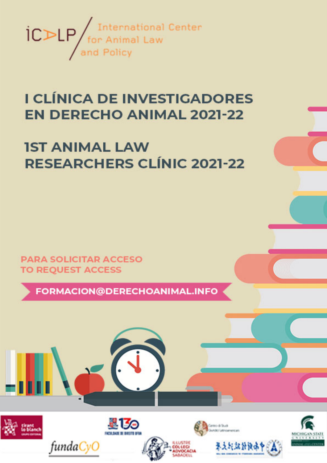

# I CLÍNICA DE INVESTIGADORES **EN DERECHO ANIMAL 2021-22**

# **IST ANIMAL LAW RESEARCHERS CLÍNIC 2021-22**

**PARA SOLICITAR ACCESO TO REQUEST ACCESS** 

fundaCyC

FORMACION@DERECHOANIMAL.INFO

2130



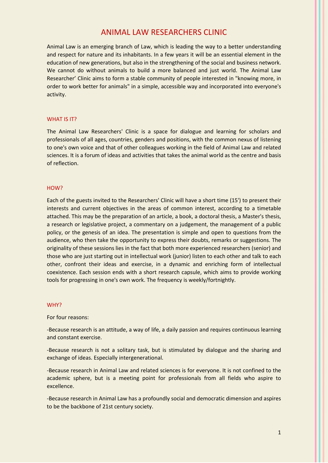# ANIMAL LAW RESEARCHERS CLINIC

Animal Law is an emerging branch of Law, which is leading the way to a better understanding and respect for nature and its inhabitants. In a few years it will be an essential element in the education of new generations, but also in the strengthening of the social and business network. We cannot do without animals to build a more balanced and just world. The Animal Law Researcher' Clinic aims to form a stable community of people interested in "knowing more, in order to work better for animals" in a simple, accessible way and incorporated into everyone's activity.

#### WHAT IS IT?

The Animal Law Researchers' Clinic is a space for dialogue and learning for scholars and professionals of all ages, countries, genders and positions, with the common nexus of listening to one's own voice and that of other colleagues working in the field of Animal Law and related sciences. It is a forum of ideas and activities that takes the animal world as the centre and basis of reflection.

#### HOW?

Each of the guests invited to the Researchers' Clinic will have a short time (15') to present their interests and current objectives in the areas of common interest, according to a timetable attached. This may be the preparation of an article, a book, a doctoral thesis, a Master's thesis, a research or legislative project, a commentary on a judgement, the management of a public policy, or the genesis of an idea. The presentation is simple and open to questions from the audience, who then take the opportunity to express their doubts, remarks or suggestions. The originality of these sessions lies in the fact that both more experienced researchers (senior) and those who are just starting out in intellectual work (junior) listen to each other and talk to each other, confront their ideas and exercise, in a dynamic and enriching form of intellectual coexistence. Each session ends with a short research capsule, which aims to provide working tools for progressing in one's own work. The frequency is weekly/fortnightly.

#### WHY?

#### For four reasons:

-Because research is an attitude, a way of life, a daily passion and requires continuous learning and constant exercise.

-Because research is not a solitary task, but is stimulated by dialogue and the sharing and exchange of ideas. Especially intergenerational.

-Because research in Animal Law and related sciences is for everyone. It is not confined to the academic sphere, but is a meeting point for professionals from all fields who aspire to excellence.

-Because research in Animal Law has a profoundly social and democratic dimension and aspires to be the backbone of 21st century society.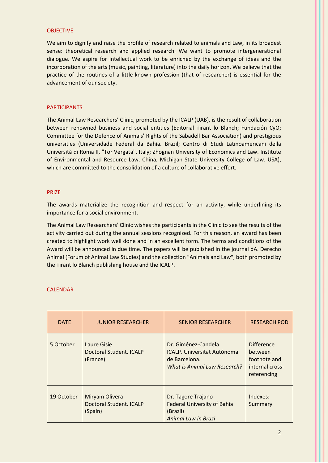#### OBJECTIVE

We aim to dignify and raise the profile of research related to animals and Law, in its broadest sense: theoretical research and applied research. We want to promote intergenerational dialogue. We aspire for intellectual work to be enriched by the exchange of ideas and the incorporation of the arts (music, painting, literature) into the daily horizon. We believe that the practice of the routines of a little-known profession (that of researcher) is essential for the advancement of our society.

#### PARTICIPANTS

The Animal Law Researchers' Clinic, promoted by the ICALP (UAB), is the result of collaboration between renowned business and social entities (Editorial Tirant lo Blanch; Fundación CyO; Committee for the Defence of Animals' Rights of the Sabadell Bar Association) and prestigious universities (Universidade Federal da Bahía. Brazil; Centro di Studi Latinoamericani della Università di Roma II, "Tor Vergata". Italy; Zhognan University of Economics and Law. Institute of Environmental and Resource Law. China; Michigan State University College of Law. USA), which are committed to the consolidation of a culture of collaborative effort.

#### PRIZE

The awards materialize the recognition and respect for an activity, while underlining its importance for a social environment.

The Animal Law Researchers' Clinic wishes the participants in the Clinic to see the results of the activity carried out during the annual sessions recognized. For this reason, an award has been created to highlight work well done and in an excellent form. The terms and conditions of the Award will be announced in due time. The papers will be published in the journal dA. Derecho Animal (Forum of Animal Law Studies) and the collection "Animals and Law", both promoted by the Tirant lo Blanch publishing house and the ICALP.

#### **CALENDAR**

| <b>DATE</b> | <b>JUNIOR RESEARCHER</b>                             | <b>SENIOR RESEARCHER</b>                                                                                    | <b>RESEARCH POD</b>                                                            |
|-------------|------------------------------------------------------|-------------------------------------------------------------------------------------------------------------|--------------------------------------------------------------------------------|
| 5 October   | Laure Gisie<br>Doctoral Student, ICALP<br>(France)   | Dr. Giménez-Candela.<br><b>ICALP. Universitat Autònoma</b><br>de Barcelona.<br>What is Animal Law Research? | <b>Difference</b><br>between<br>footnote and<br>internal cross-<br>referencing |
| 19 October  | Miryam Olivera<br>Doctoral Student, ICALP<br>(Spain) | Dr. Tagore Trajano<br><b>Federal University of Bahia</b><br>(Brazil)<br><b>Animal Law in Brazi</b>          | Indexes:<br>Summary                                                            |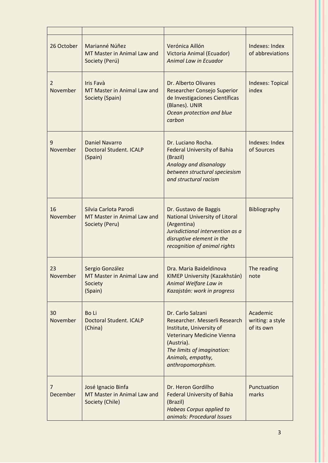| 26 October                 | Marianné Núñez<br>MT Master in Animal Law and<br>Society (Perú)        | Verónica Aillón<br>Victoria Animal (Ecuador)<br><b>Animal Law in Ecuador</b>                                                                                                                              | Indexes: Index<br>of abbreviations         |
|----------------------------|------------------------------------------------------------------------|-----------------------------------------------------------------------------------------------------------------------------------------------------------------------------------------------------------|--------------------------------------------|
| $\overline{2}$<br>November | <b>Iris Favà</b><br>MT Master in Animal Law and<br>Society (Spain)     | Dr. Alberto Olivares<br><b>Researcher Consejo Superior</b><br>de Investigaciones Científicas<br>(Blanes). UNIR<br>Ocean protection and blue<br>carbon                                                     | <b>Indexes: Topical</b><br>index           |
| 9<br>November              | <b>Daniel Navarro</b><br><b>Doctoral Student. ICALP</b><br>(Spain)     | Dr. Luciano Rocha.<br><b>Federal University of Bahia</b><br>(Brazil)<br>Analogy and disanalogy<br>between structural speciesism<br>and structural racism                                                  | Indexes: Index<br>of Sources               |
| 16<br>November             | Silvia Carlota Parodi<br>MT Master in Animal Law and<br>Society (Peru) | Dr. Gustavo de Baggis<br><b>National University of Litoral</b><br>(Argentina)<br>Jurisdictional intervention as a<br>disruptive element in the<br>recognition of animal rights                            | Bibliography                               |
| 23<br>November             | Sergio González<br>MT Master in Animal Law and<br>Society<br>(Spain)   | Dra. Maria Baideldinova<br>KIMEP University (Kazakhstán)<br>Animal Welfare Law in<br>Kazajstán: work in progress                                                                                          | The reading<br>note                        |
| 30<br>November             | <b>Bo Li</b><br><b>Doctoral Student. ICALP</b><br>(China)              | Dr. Carlo Salzani<br>Researcher. Messerli Research<br>Institute, University of<br><b>Veterinary Medicine Vienna</b><br>(Austria).<br>The limits of imagination:<br>Animals, empathy,<br>anthropomorphism. | Academic<br>writing: a style<br>of its own |
| $\overline{7}$<br>December | José Ignacio Binfa<br>MT Master in Animal Law and<br>Society (Chile)   | Dr. Heron Gordilho<br><b>Federal University of Bahia</b><br>(Brazil)<br><b>Habeas Corpus applied to</b><br>animals: Procedural Issues                                                                     | Punctuation<br>marks                       |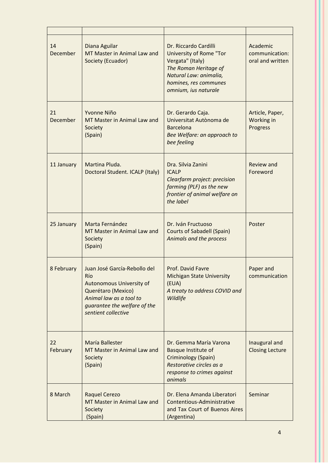| 14<br>December | Diana Aguilar<br>MT Master in Animal Law and<br>Society (Ecuador)                                                                                                              | Dr. Riccardo Cardilli<br><b>University of Rome "Tor</b><br>Vergata" (Italy)<br>The Roman Heritage of<br>Natural Law: animalia,<br>homines, res communes<br>omnium, ius naturale | Academic<br>communication:<br>oral and written |
|----------------|--------------------------------------------------------------------------------------------------------------------------------------------------------------------------------|---------------------------------------------------------------------------------------------------------------------------------------------------------------------------------|------------------------------------------------|
| 21<br>December | Yvonne Niño<br>MT Master in Animal Law and<br>Society<br>(Spain)                                                                                                               | Dr. Gerardo Caja.<br>Universitat Autònoma de<br><b>Barcelona</b><br>Bee Welfare: an approach to<br>bee feeling                                                                  | Article, Paper,<br>Working in<br>Progress      |
| 11 January     | Martina Pluda.<br>Doctoral Student. ICALP (Italy)                                                                                                                              | Dra. Silvia Zanini<br><b>ICALP</b><br>Clearfarm project: precision<br>farming (PLF) as the new<br>frontier of animal welfare on<br>the label                                    | Review and<br>Foreword                         |
| 25 January     | Marta Fernández<br>MT Master in Animal Law and<br>Society<br>(Spain)                                                                                                           | Dr. Iván Fructuoso<br><b>Courts of Sabadell (Spain)</b><br>Animals and the process                                                                                              | Poster                                         |
| 8 February     | Juan José García-Rebollo del<br>Río<br><b>Autonomous University of</b><br>Querétaro (Mexico)<br>Animal law as a tool to<br>guarantee the welfare of the<br>sentient collective | Prof. David Favre<br><b>Michigan State University</b><br>(EUA)<br>A treaty to address COVID and<br>Wildlife                                                                     | Paper and<br>communication                     |
| 22<br>February | María Ballester<br>MT Master in Animal Law and<br>Society<br>(Spain)                                                                                                           | Dr. Gemma María Varona<br>Basque Institute of<br>Criminology (Spain)<br>Restorative circles as a<br>response to crimes against<br>animals                                       | Inaugural and<br><b>Closing Lecture</b>        |
| 8 March        | <b>Raquel Cerezo</b><br>MT Master in Animal Law and<br>Society<br>(Spain)                                                                                                      | Dr. Elena Amanda Liberatori<br>Contentious-Administrative<br>and Tax Court of Buenos Aires<br>(Argentina)                                                                       | Seminar                                        |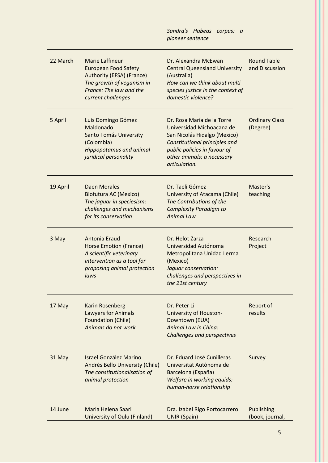|          |                                                                                                                                                                  | Sandra's Habeas corpus: a<br>pioneer sentence                                                                                                                                                           |                                      |
|----------|------------------------------------------------------------------------------------------------------------------------------------------------------------------|---------------------------------------------------------------------------------------------------------------------------------------------------------------------------------------------------------|--------------------------------------|
| 22 March | <b>Marie Laffineur</b><br><b>European Food Safety</b><br>Authority (EFSA) (France)<br>The growth of veganism in<br>France: The law and the<br>current challenges | Dr. Alexandra McEwan<br><b>Central Queensland University</b><br>(Australia)<br>How can we think about multi-<br>species justice in the context of<br>domestic violence?                                 | <b>Round Table</b><br>and Discussion |
| 5 April  | Luis Domingo Gómez<br>Maldonado<br>Santo Tomás University<br>(Colombia)<br><b>Hippopotamus and animal</b><br>juridical personality                               | Dr. Rosa María de la Torre<br>Universidad Michoacana de<br>San Nicolás Hidalgo (Mexico)<br>Constitutional principles and<br>public policies in favour of<br>other animals: a necessary<br>articulation. | <b>Ordinary Class</b><br>(Degree)    |
| 19 April | <b>Daen Morales</b><br><b>Biofutura AC (Mexico)</b><br>The jaguar in speciesism:<br>challenges and mechanisms<br>for its conservation                            | Dr. Taeli Gómez<br>University of Atacama (Chile)<br>The Contributions of the<br><b>Complexity Paradigm to</b><br><b>Animal Law</b>                                                                      | Master's<br>teaching                 |
| 3 May    | Antonia Eraud<br><b>Horse Emotion (France)</b><br>A scientific veterinary<br>intervention as a tool for<br>proposing animal protection<br>laws                   | Dr. Helot Zarza<br>Universidad Autónoma<br>Metropolitana Unidad Lerma<br>(Mexico)<br>Jaguar conservation:<br>challenges and perspectives in<br>the 21st century                                         | Research<br>Project                  |
| 17 May   | <b>Karin Rosenberg</b><br><b>Lawyers for Animals</b><br><b>Foundation (Chile)</b><br>Animals do not work                                                         | Dr. Peter Li<br>University of Houston-<br>Downtown (EUA)<br>Animal Law in China:<br><b>Challenges and perspectives</b>                                                                                  | Report of<br>results                 |
| 31 May   | <b>Israel González Marino</b><br>Andrés Bello University (Chile)<br>The constitutionalisation of<br>animal protection                                            | Dr. Eduard José Cunilleras<br>Universitat Autònoma de<br>Barcelona (España)<br>Welfare in working equids:<br>human-horse relationship                                                                   | Survey                               |
| 14 June  | Maria Helena Saari<br>University of Oulu (Finland)                                                                                                               | Dra. Izabel Rigo Portocarrero<br><b>UNIR (Spain)</b>                                                                                                                                                    | Publishing<br>(book, journal,        |